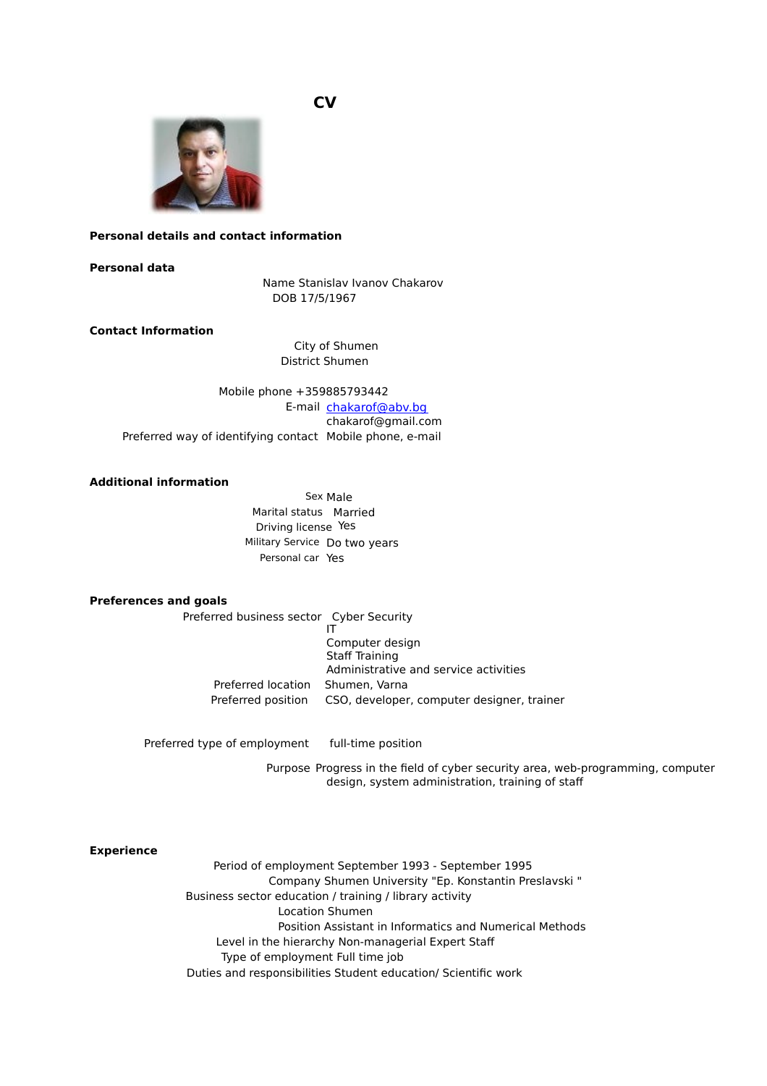**CV** 



# **Personal details and contact information**

#### **Personal data**

Name Stanislav Ivanov Chakarov DOB 17/5/1967

## **Contact Information**

City of Shumen District Shumen

Mobile phone +359885793442 E-mail chakarof@abv.bg chakarof@gmail.com Preferred way of identifying contact Mobile phone, e-mail

## **Additional information**

Sex Male Marital status Married Driving license Yes Military Service Do two years Personal car Yes

#### **Preferences and goals**

Preferred business sector Cyber Security

IT Computer design Staff Training Administrative and service activities Preferred location Shumen, Varna Preferred position CSO, developer, computer designer, trainer

Preferred type of employment full-time position

Purpose Progress in the field of cyber security area, web-programming, computer design, system administration, training of staff

### **Experience**

Period of employment September 1993 - September 1995 Company Shumen University "Ep. Konstantin Preslavski " Business sector education / training / library activity Location Shumen Position Assistant in Informatics and Numerical Methods Level in the hierarchy Non-managerial Expert Staff Type of employment Full time job Duties and responsibilities Student education/ Scientific work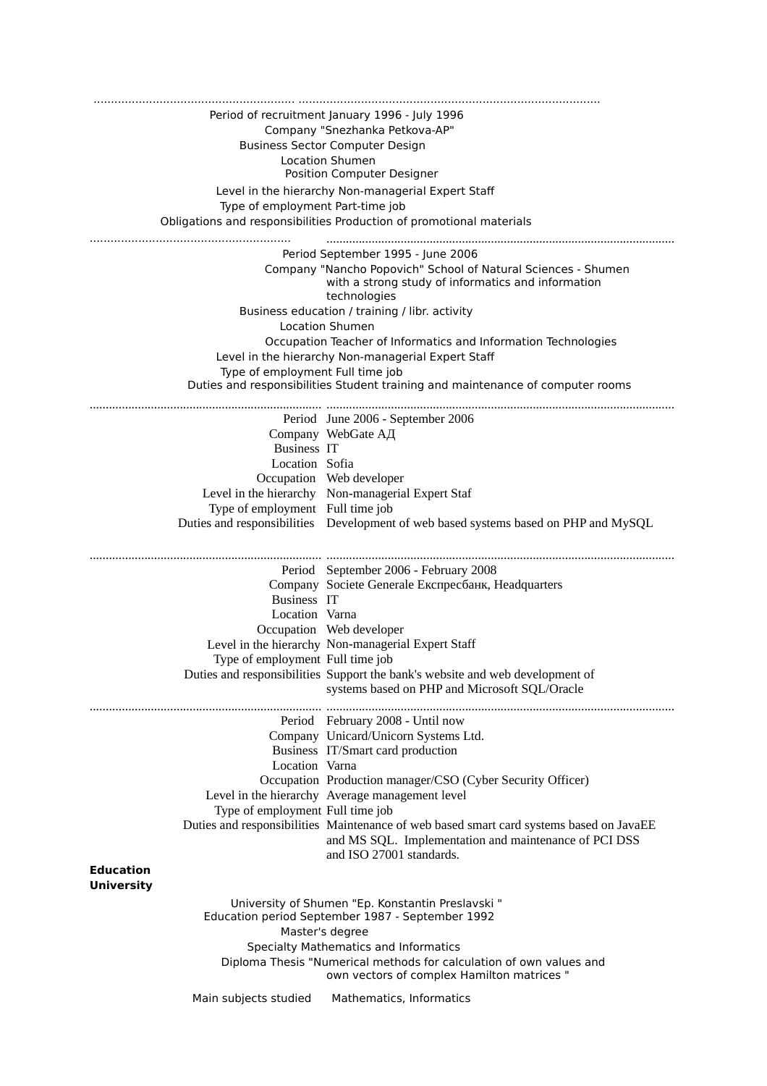| Period of recruitment January 1996 - July 1996                       |                                                                                         |  |
|----------------------------------------------------------------------|-----------------------------------------------------------------------------------------|--|
| Company "Snezhanka Petkova-AP"                                       |                                                                                         |  |
|                                                                      | <b>Business Sector Computer Design</b>                                                  |  |
| <b>Location Shumen</b>                                               |                                                                                         |  |
|                                                                      | Position Computer Designer                                                              |  |
|                                                                      | Level in the hierarchy Non-managerial Expert Staff                                      |  |
| Type of employment Part-time job                                     |                                                                                         |  |
| Obligations and responsibilities Production of promotional materials |                                                                                         |  |
|                                                                      |                                                                                         |  |
| Period September 1995 - June 2006                                    |                                                                                         |  |
| Company "Nancho Popovich" School of Natural Sciences - Shumen        |                                                                                         |  |
| with a strong study of informatics and information                   |                                                                                         |  |
| technologies                                                         |                                                                                         |  |
| Business education / training / libr. activity                       |                                                                                         |  |
| <b>Location Shumen</b>                                               |                                                                                         |  |
|                                                                      | Occupation Teacher of Informatics and Information Technologies                          |  |
|                                                                      | Level in the hierarchy Non-managerial Expert Staff                                      |  |
| Type of employment Full time job                                     |                                                                                         |  |
|                                                                      | Duties and responsibilities Student training and maintenance of computer rooms          |  |
|                                                                      |                                                                                         |  |
|                                                                      | Period June 2006 - September 2006                                                       |  |
|                                                                      | Company WebGate АД                                                                      |  |
| Business IT                                                          |                                                                                         |  |
| Location Sofia                                                       |                                                                                         |  |
|                                                                      | Occupation Web developer                                                                |  |
|                                                                      | Level in the hierarchy Non-managerial Expert Staf                                       |  |
| Type of employment Full time job                                     |                                                                                         |  |
|                                                                      | Duties and responsibilities  Development of web based systems based on PHP and MySQL    |  |
|                                                                      |                                                                                         |  |
|                                                                      | Period September 2006 - February 2008                                                   |  |
|                                                                      | Company Societe Generale Експресбанк, Headquarters                                      |  |
| Business IT                                                          |                                                                                         |  |
| Location Varna                                                       |                                                                                         |  |
|                                                                      | Occupation Web developer                                                                |  |
|                                                                      | Level in the hierarchy Non-managerial Expert Staff                                      |  |
| Type of employment Full time job                                     |                                                                                         |  |
|                                                                      | Duties and responsibilities Support the bank's website and web development of           |  |
|                                                                      | systems based on PHP and Microsoft SQL/Oracle                                           |  |
|                                                                      |                                                                                         |  |
|                                                                      | Period February 2008 - Until now                                                        |  |
|                                                                      | Company Unicard/Unicorn Systems Ltd.                                                    |  |
|                                                                      | Business IT/Smart card production                                                       |  |
| Location Varna                                                       |                                                                                         |  |
|                                                                      | Occupation Production manager/CSO (Cyber Security Officer)                              |  |
|                                                                      | Level in the hierarchy Average management level                                         |  |
| Type of employment Full time job                                     |                                                                                         |  |
|                                                                      | Duties and responsibilities Maintenance of web based smart card systems based on JavaEE |  |
|                                                                      | and MS SQL. Implementation and maintenance of PCI DSS                                   |  |
|                                                                      | and ISO 27001 standards.                                                                |  |
| Education                                                            |                                                                                         |  |
| <b>University</b>                                                    |                                                                                         |  |
|                                                                      | University of Shumen "Ep. Konstantin Preslavski"                                        |  |
| Education period September 1987 - September 1992                     |                                                                                         |  |
| Master's degree                                                      |                                                                                         |  |
| Specialty Mathematics and Informatics                                |                                                                                         |  |
|                                                                      | Diploma Thesis "Numerical methods for calculation of own values and                     |  |
|                                                                      | own vectors of complex Hamilton matrices "                                              |  |
| Main subjects studied                                                | Mathematics, Informatics                                                                |  |
|                                                                      |                                                                                         |  |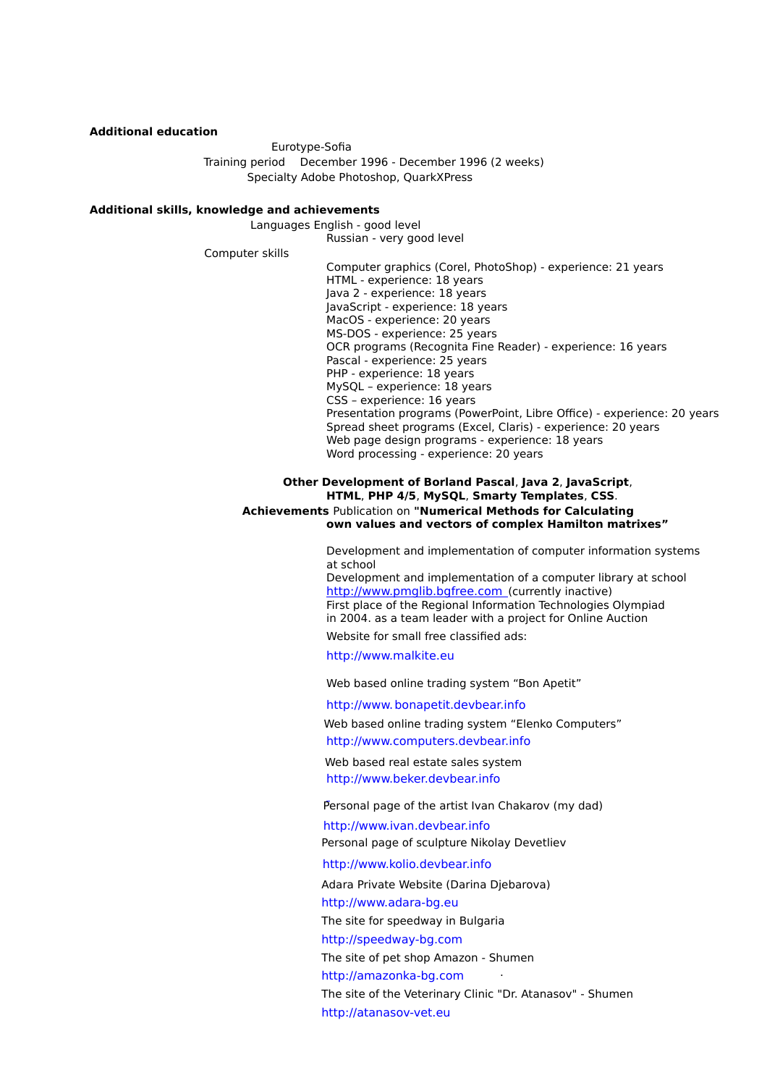### **Additional education**

Eurotype-Sofia Training period December 1996 - December 1996 (2 weeks) Specialty Adobe Photoshop, QuarkXPress

### **Additional skills, knowledge and achievements**

Languages English - good level Russian - very good level

Computer skills

Computer graphics (Corel, PhotoShop) - experience: 21 years HTML - experience: 18 years Java 2 - experience: 18 years JavaScript - experience: 18 years MacOS - experience: 20 years MS-DOS - experience: 25 years OCR programs (Recognita Fine Reader) - experience: 16 years Pascal - experience: 25 years PHP - experience: 18 years MySQL – experience: 18 years CSS – experience: 16 years Presentation programs (PowerPoint, Libre Office) - experience: 20 years Spread sheet programs (Excel, Claris) - experience: 20 years Web page design programs - experience: 18 years Word processing - experience: 20 years

## **Other Development of Borland Pascal**, **Java 2**, **JavaScript**, **HTML**, **PHP 4/5**, **MySQL**, **Smarty Templates**, **CSS**. **Achievements** Publication on **"Numerical Methods for Calculating own values and vectors of complex Hamilton matrixes"**

Development and implementation of computer information systems at school

Development and implementation of a computer library at school http://www.pmglib.bgfree.com (currently inactive) First place of the Regional Information Technologies Olympiad in 2004. as a team leader with a project for Online Auction Website for small free classified ads:

http://www.malkite.eu

Web based online trading system "Bon Apetit"

http://www.bonapetit.devbear.info

Web based online trading system "Elenko Computers" http://www.computers.devbear.info

Web based real estate sales system http://www.beker.devbear.info

Personal page of the artist Ivan Chakarov (my dad)

http://www.ivan.devbear.info Personal page of sculpture Nikolay Devetliev

http://www.kolio.devbear.info

Adara Private Website (Darina Djebarova)

http://www.adara-bg.eu

The site for speedway in Bulgaria

http://speedway-bg.com

The site of pet shop Amazon - Shumen

http://amazonka-bg.com

The site of the Veterinary Clinic "Dr. Atanasov" - Shumen http://atanasov-vet.eu

.